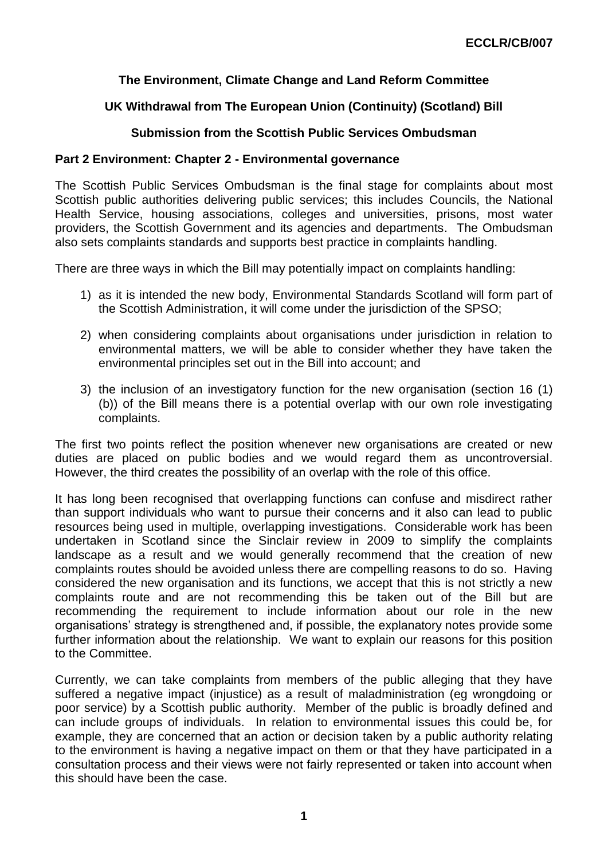## **The Environment, Climate Change and Land Reform Committee**

## **UK Withdrawal from The European Union (Continuity) (Scotland) Bill**

## **Submission from the Scottish Public Services Ombudsman**

## **Part 2 Environment: Chapter 2 - Environmental governance**

The Scottish Public Services Ombudsman is the final stage for complaints about most Scottish public authorities delivering public services; this includes Councils, the National Health Service, housing associations, colleges and universities, prisons, most water providers, the Scottish Government and its agencies and departments. The Ombudsman also sets complaints standards and supports best practice in complaints handling.

There are three ways in which the Bill may potentially impact on complaints handling:

- 1) as it is intended the new body, Environmental Standards Scotland will form part of the Scottish Administration, it will come under the jurisdiction of the SPSO;
- 2) when considering complaints about organisations under jurisdiction in relation to environmental matters, we will be able to consider whether they have taken the environmental principles set out in the Bill into account; and
- 3) the inclusion of an investigatory function for the new organisation (section 16 (1) (b)) of the Bill means there is a potential overlap with our own role investigating complaints.

The first two points reflect the position whenever new organisations are created or new duties are placed on public bodies and we would regard them as uncontroversial. However, the third creates the possibility of an overlap with the role of this office.

It has long been recognised that overlapping functions can confuse and misdirect rather than support individuals who want to pursue their concerns and it also can lead to public resources being used in multiple, overlapping investigations. Considerable work has been undertaken in Scotland since the Sinclair review in 2009 to simplify the complaints landscape as a result and we would generally recommend that the creation of new complaints routes should be avoided unless there are compelling reasons to do so. Having considered the new organisation and its functions, we accept that this is not strictly a new complaints route and are not recommending this be taken out of the Bill but are recommending the requirement to include information about our role in the new organisations' strategy is strengthened and, if possible, the explanatory notes provide some further information about the relationship. We want to explain our reasons for this position to the Committee.

Currently, we can take complaints from members of the public alleging that they have suffered a negative impact (injustice) as a result of maladministration (eg wrongdoing or poor service) by a Scottish public authority. Member of the public is broadly defined and can include groups of individuals. In relation to environmental issues this could be, for example, they are concerned that an action or decision taken by a public authority relating to the environment is having a negative impact on them or that they have participated in a consultation process and their views were not fairly represented or taken into account when this should have been the case.